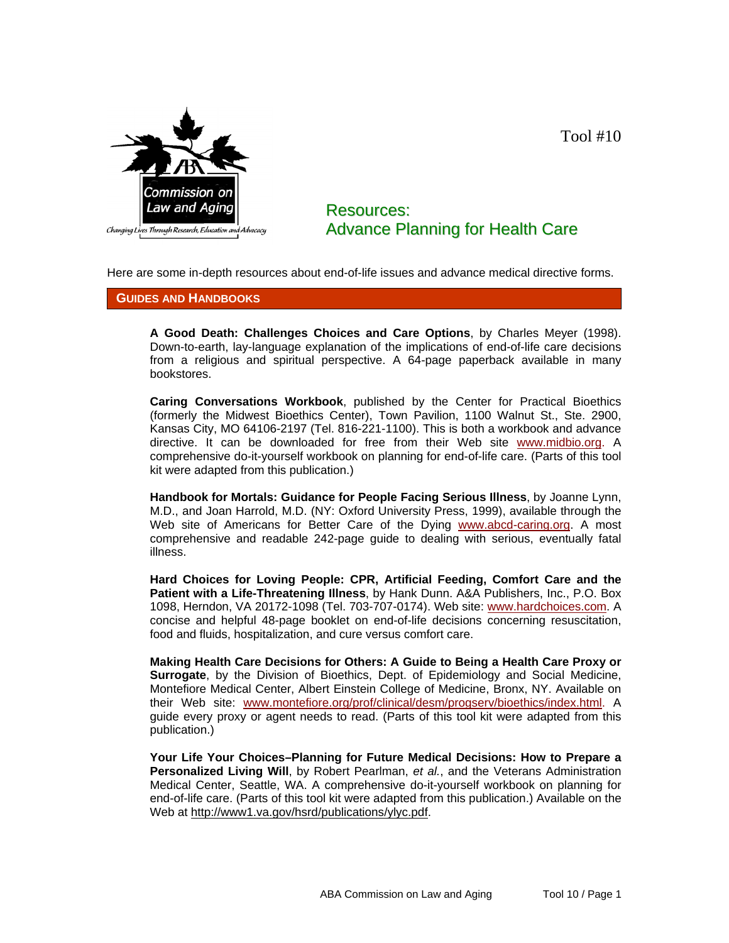

## Resources: Advance Planning for Health Care

Tool #10

Here are some in-depth resources about end-of-life issues and advance medical directive forms.

## **GUIDES AND HANDBOOKS**

**A Good Death: Challenges Choices and Care Options**, by Charles Meyer (1998). Down-to-earth, lay-language explanation of the implications of end-of-life care decisions from a religious and spiritual perspective. A 64-page paperback available in many bookstores.

**Caring Conversations Workbook**, published by the Center for Practical Bioethics (formerly the Midwest Bioethics Center), Town Pavilion, 1100 Walnut St., Ste. 2900, Kansas City, MO 64106-2197 (Tel. 816-221-1100). This is both a workbook and advance directive. It can be downloaded for free from their Web site www.midbio.org. A comprehensive do-it-yourself workbook on planning for end-of-life care. (Parts of this tool kit were adapted from this publication.)

**Handbook for Mortals: Guidance for People Facing Serious Illness**, by Joanne Lynn, M.D., and Joan Harrold, M.D. (NY: Oxford University Press, 1999), available through the Web site of Americans for Better Care of the Dying www.abcd-caring.org. A most comprehensive and readable 242-page guide to dealing with serious, eventually fatal illness.

**Hard Choices for Loving People: CPR, Artificial Feeding, Comfort Care and the Patient with a Life-Threatening Illness**, by Hank Dunn. A&A Publishers, Inc., P.O. Box 1098, Herndon, VA 20172-1098 (Tel. 703-707-0174). Web site: www.hardchoices.com. A concise and helpful 48-page booklet on end-of-life decisions concerning resuscitation, food and fluids, hospitalization, and cure versus comfort care.

**Making Health Care Decisions for Others: A Guide to Being a Health Care Proxy or Surrogate**, by the Division of Bioethics, Dept. of Epidemiology and Social Medicine, Montefiore Medical Center, Albert Einstein College of Medicine, Bronx, NY. Available on their Web site: www.montefiore.org/prof/clinical/desm/progserv/bioethics/index.html. A guide every proxy or agent needs to read. (Parts of this tool kit were adapted from this publication.)

**Your Life Your Choices–Planning for Future Medical Decisions: How to Prepare a Personalized Living Will**, by Robert Pearlman, *et al.*, and the Veterans Administration Medical Center, Seattle, WA. A comprehensive do-it-yourself workbook on planning for end-of-life care. (Parts of this tool kit were adapted from this publication.) Available on the Web at http://www1.va.gov/hsrd/publications/ylyc.pdf.